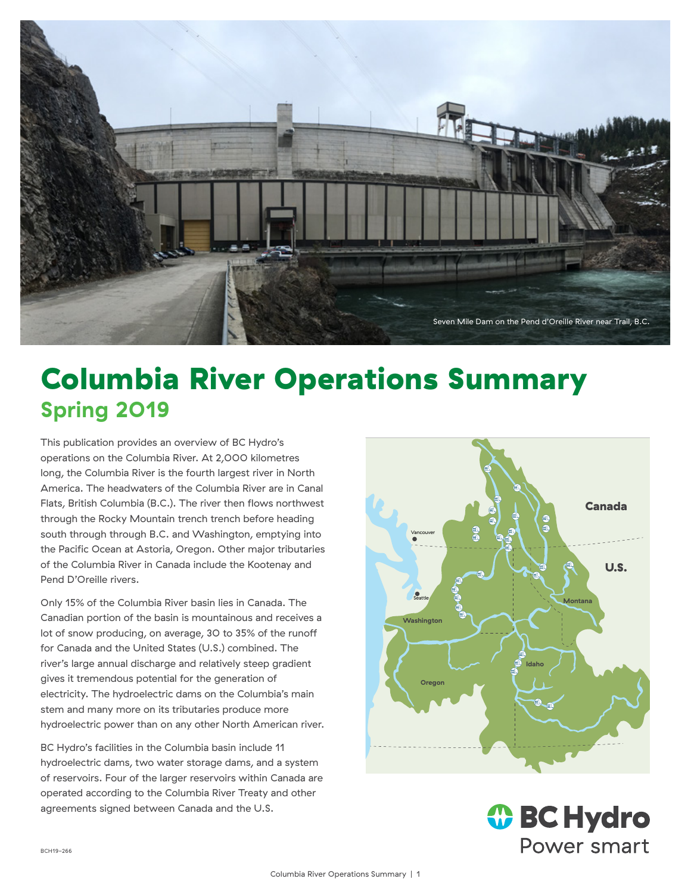

# Columbia River Operations Summary **Spring 2019**

This publication provides an overview of BC Hydro's operations on the Columbia River. At 2,000 kilometres long, the Columbia River is the fourth largest river in North America. The headwaters of the Columbia River are in Canal Flats, British Columbia (B.C.). The river then flows northwest through the Rocky Mountain trench trench before heading south through through B.C. and Washington, emptying into the Pacific Ocean at Astoria, Oregon. Other major tributaries of the Columbia River in Canada include the Kootenay and Pend D'Oreille rivers.

Only 15% of the Columbia River basin lies in Canada. The Canadian portion of the basin is mountainous and receives a lot of snow producing, on average, 30 to 35% of the runoff for Canada and the United States (U.S.) combined. The river's large annual discharge and relatively steep gradient gives it tremendous potential for the generation of electricity. The hydroelectric dams on the Columbia's main stem and many more on its tributaries produce more hydroelectric power than on any other North American river.

BC Hydro's facilities in the Columbia basin include 11 hydroelectric dams, two water storage dams, and a system of reservoirs. Four of the larger reservoirs within Canada are operated according to the Columbia River Treaty and other agreements signed between Canada and the U.S.



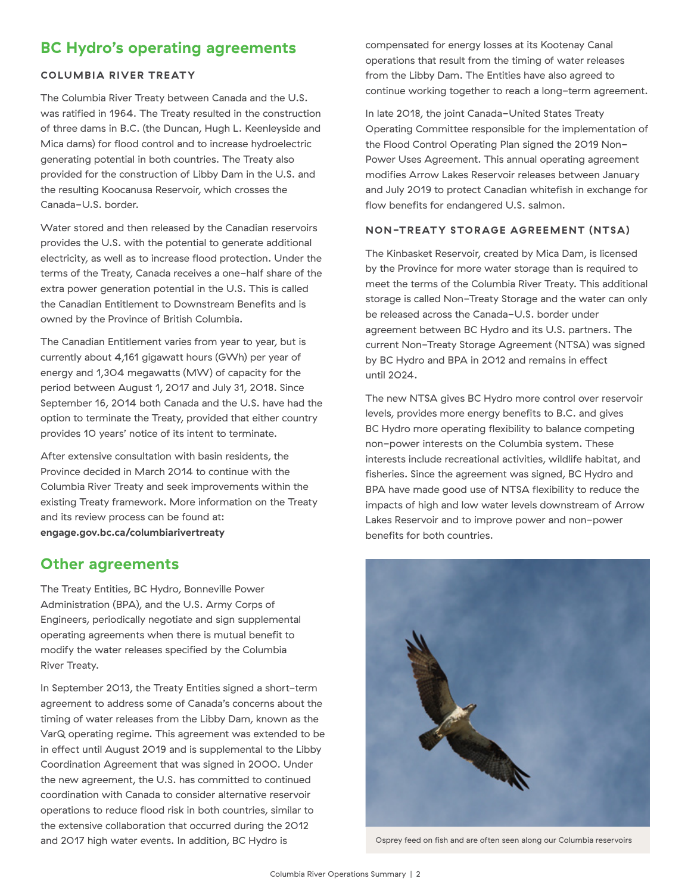## **BC Hydro's operating agreements**

#### **COLUMBIA RIVER TREATY**

The Columbia River Treaty between Canada and the U.S. was ratified in 1964. The Treaty resulted in the construction of three dams in B.C. (the Duncan, Hugh L. Keenleyside and Mica dams) for flood control and to increase hydroelectric generating potential in both countries. The Treaty also provided for the construction of Libby Dam in the U.S. and the resulting Koocanusa Reservoir, which crosses the Canada-U.S. border.

Water stored and then released by the Canadian reservoirs provides the U.S. with the potential to generate additional electricity, as well as to increase flood protection. Under the terms of the Treaty, Canada receives a one-half share of the extra power generation potential in the U.S. This is called the Canadian Entitlement to Downstream Benefits and is owned by the Province of British Columbia.

The Canadian Entitlement varies from year to year, but is currently about 4,161 gigawatt hours (GWh) per year of energy and 1,304 megawatts (MW) of capacity for the period between August 1, 2017 and July 31, 2018. Since September 16, 2014 both Canada and the U.S. have had the option to terminate the Treaty, provided that either country provides 10 years' notice of its intent to terminate.

After extensive consultation with basin residents, the Province decided in March 2014 to continue with the Columbia River Treaty and seek improvements within the existing Treaty framework. More information on the Treaty and its review process can be found at: **engage.gov.bc.ca/columbiarivertreaty**

### **Other agreements**

The Treaty Entities, BC Hydro, Bonneville Power Administration (BPA), and the U.S. Army Corps of Engineers, periodically negotiate and sign supplemental operating agreements when there is mutual benefit to modify the water releases specified by the Columbia River Treaty.

In September 2013, the Treaty Entities signed a short-term agreement to address some of Canada's concerns about the timing of water releases from the Libby Dam, known as the VarQ operating regime. This agreement was extended to be in effect until August 2019 and is supplemental to the Libby Coordination Agreement that was signed in 2000. Under the new agreement, the U.S. has committed to continued coordination with Canada to consider alternative reservoir operations to reduce flood risk in both countries, similar to the extensive collaboration that occurred during the 2012 and 2017 high water events. In addition, BC Hydro is

compensated for energy losses at its Kootenay Canal operations that result from the timing of water releases from the Libby Dam. The Entities have also agreed to continue working together to reach a long-term agreement.

In late 2018, the joint Canada-United States Treaty Operating Committee responsible for the implementation of the Flood Control Operating Plan signed the 2019 Non-Power Uses Agreement. This annual operating agreement modifies Arrow Lakes Reservoir releases between January and July 2019 to protect Canadian whitefish in exchange for flow benefits for endangered U.S. salmon.

#### **NON-TREATY STORAGE AGREEMENT (NTSA)**

The Kinbasket Reservoir, created by Mica Dam, is licensed by the Province for more water storage than is required to meet the terms of the Columbia River Treaty. This additional storage is called Non-Treaty Storage and the water can only be released across the Canada-U.S. border under agreement between BC Hydro and its U.S. partners. The current Non-Treaty Storage Agreement (NTSA) was signed by BC Hydro and BPA in 2012 and remains in effect until 2024.

The new NTSA gives BC Hydro more control over reservoir levels, provides more energy benefits to B.C. and gives BC Hydro more operating flexibility to balance competing non-power interests on the Columbia system. These interests include recreational activities, wildlife habitat, and fisheries. Since the agreement was signed, BC Hydro and BPA have made good use of NTSA flexibility to reduce the impacts of high and low water levels downstream of Arrow Lakes Reservoir and to improve power and non-power benefits for both countries.



Osprey feed on fish and are often seen along our Columbia reservoirs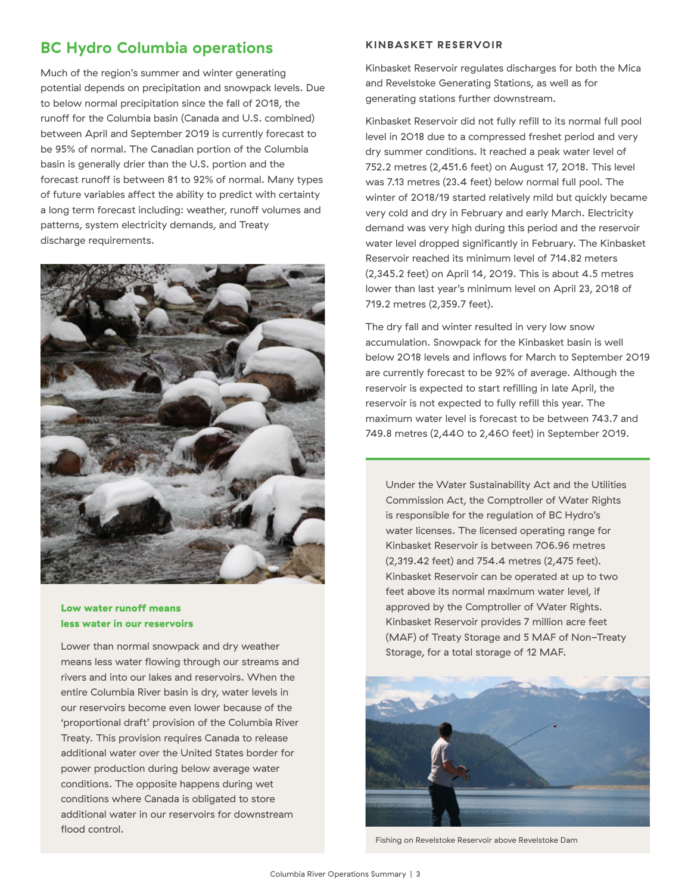## **BC Hydro Columbia operations**

Much of the region's summer and winter generating potential depends on precipitation and snowpack levels. Due to below normal precipitation since the fall of 2018, the runoff for the Columbia basin (Canada and U.S. combined) between April and September 2019 is currently forecast to be 95% of normal. The Canadian portion of the Columbia basin is generally drier than the U.S. portion and the forecast runoff is between 81 to 92% of normal. Many types of future variables affect the ability to predict with certainty a long term forecast including: weather, runoff volumes and patterns, system electricity demands, and Treaty discharge requirements.



#### Low water runoff means less water in our reservoirs

Lower than normal snowpack and dry weather means less water flowing through our streams and rivers and into our lakes and reservoirs. When the entire Columbia River basin is dry, water levels in our reservoirs become even lower because of the 'proportional draft' provision of the Columbia River Treaty. This provision requires Canada to release additional water over the United States border for power production during below average water conditions. The opposite happens during wet conditions where Canada is obligated to store additional water in our reservoirs for downstream flood control.

#### **KINBASKET RESERVOIR**

Kinbasket Reservoir regulates discharges for both the Mica and Revelstoke Generating Stations, as well as for generating stations further downstream.

Kinbasket Reservoir did not fully refill to its normal full pool level in 2018 due to a compressed freshet period and very dry summer conditions. It reached a peak water level of 752.2 metres (2,451.6 feet) on August 17, 2018. This level was 7.13 metres (23.4 feet) below normal full pool. The winter of 2018/19 started relatively mild but quickly became very cold and dry in February and early March. Electricity demand was very high during this period and the reservoir water level dropped significantly in February. The Kinbasket Reservoir reached its minimum level of 714.82 meters (2,345.2 feet) on April 14, 2019. This is about 4.5 metres lower than last year's minimum level on April 23, 2018 of 719.2 metres (2,359.7 feet).

The dry fall and winter resulted in very low snow accumulation. Snowpack for the Kinbasket basin is well below 2018 levels and inflows for March to September 2019 are currently forecast to be 92% of average. Although the reservoir is expected to start refilling in late April, the reservoir is not expected to fully refill this year. The maximum water level is forecast to be between 743.7 and 749.8 metres (2,440 to 2,460 feet) in September 2019.

Under the Water Sustainability Act and the Utilities Commission Act, the Comptroller of Water Rights is responsible for the regulation of BC Hydro's water licenses. The licensed operating range for Kinbasket Reservoir is between 706.96 metres (2,319.42 feet) and 754.4 metres (2,475 feet). Kinbasket Reservoir can be operated at up to two feet above its normal maximum water level, if approved by the Comptroller of Water Rights. Kinbasket Reservoir provides 7 million acre feet (MAF) of Treaty Storage and 5 MAF of Non-Treaty Storage, for a total storage of 12 MAF.



Fishing on Revelstoke Reservoir above Revelstoke Dam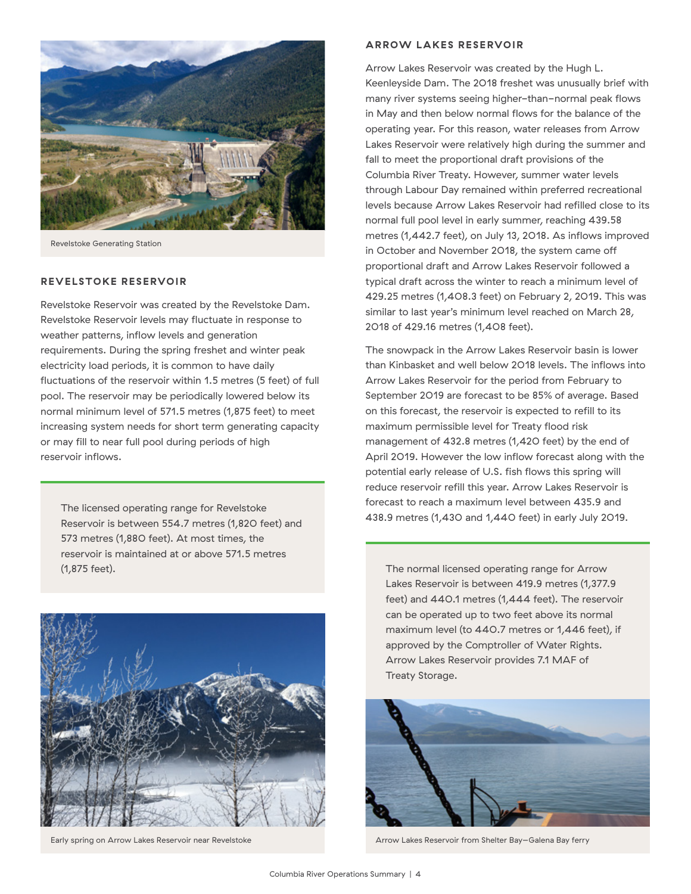

Revelstoke Generating Station

#### **REVELSTOKE RESERVOIR**

Revelstoke Reservoir was created by the Revelstoke Dam. Revelstoke Reservoir levels may fluctuate in response to weather patterns, inflow levels and generation requirements. During the spring freshet and winter peak electricity load periods, it is common to have daily fluctuations of the reservoir within 1.5 metres (5 feet) of full pool. The reservoir may be periodically lowered below its normal minimum level of 571.5 metres (1,875 feet) to meet increasing system needs for short term generating capacity or may fill to near full pool during periods of high reservoir inflows.

Reservoir is between 554.7 metres (1,820 feet) and 573 metres (1,880 feet). At most times, the reservoir is maintained at or above 571.5 metres (1,875 feet). The normal licensed operating range for Arrow



#### **ARROW LAKES RESERVOIR**

Arrow Lakes Reservoir was created by the Hugh L. Keenleyside Dam. The 2018 freshet was unusually brief with many river systems seeing higher-than-normal peak flows in May and then below normal flows for the balance of the operating year. For this reason, water releases from Arrow Lakes Reservoir were relatively high during the summer and fall to meet the proportional draft provisions of the Columbia River Treaty. However, summer water levels through Labour Day remained within preferred recreational levels because Arrow Lakes Reservoir had refilled close to its normal full pool level in early summer, reaching 439.58 metres (1,442.7 feet), on July 13, 2018. As inflows improved in October and November 2018, the system came off proportional draft and Arrow Lakes Reservoir followed a typical draft across the winter to reach a minimum level of 429.25 metres (1,408.3 feet) on February 2, 2019. This was similar to last year's minimum level reached on March 28, 2018 of 429.16 metres (1,408 feet).

The snowpack in the Arrow Lakes Reservoir basin is lower than Kinbasket and well below 2018 levels. The inflows into Arrow Lakes Reservoir for the period from February to September 2019 are forecast to be 85% of average. Based on this forecast, the reservoir is expected to refill to its maximum permissible level for Treaty flood risk management of 432.8 metres (1,420 feet) by the end of April 2019. However the low inflow forecast along with the potential early release of U.S. fish flows this spring will reduce reservoir refill this year. Arrow Lakes Reservoir is forecast to reach a maximum level between 435.9 and The licensed operating range for Revelstoke<br>438.9 metres (1,430 and 1,440 feet) in early July 2019.

> Lakes Reservoir is between 419.9 metres (1,377.9 feet) and 440.1 metres (1,444 feet). The reservoir can be operated up to two feet above its normal maximum level (to 440.7 metres or 1,446 feet), if approved by the Comptroller of Water Rights. Arrow Lakes Reservoir provides 7.1 MAF of Treaty Storage.



Early spring on Arrow Lakes Reservoir near Revelstoke Arrow Lakes Reservoir from Shelter Bay–Galena Bay ferry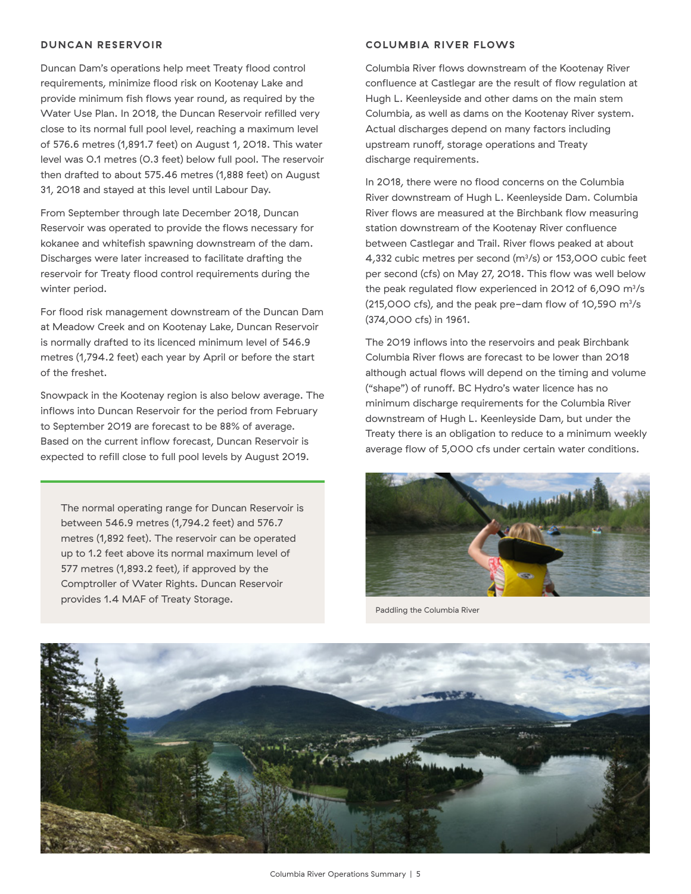#### **DUNCAN RESERVOIR**

Duncan Dam's operations help meet Treaty flood control requirements, minimize flood risk on Kootenay Lake and provide minimum fish flows year round, as required by the Water Use Plan. In 2018, the Duncan Reservoir refilled very close to its normal full pool level, reaching a maximum level of 576.6 metres (1,891.7 feet) on August 1, 2018. This water level was 0.1 metres (0.3 feet) below full pool. The reservoir then drafted to about 575.46 metres (1,888 feet) on August 31, 2018 and stayed at this level until Labour Day.

From September through late December 2018, Duncan Reservoir was operated to provide the flows necessary for kokanee and whitefish spawning downstream of the dam. Discharges were later increased to facilitate drafting the reservoir for Treaty flood control requirements during the winter period.

For flood risk management downstream of the Duncan Dam at Meadow Creek and on Kootenay Lake, Duncan Reservoir is normally drafted to its licenced minimum level of 546.9 metres (1,794.2 feet) each year by April or before the start of the freshet.

Snowpack in the Kootenay region is also below average. The inflows into Duncan Reservoir for the period from February to September 2019 are forecast to be 88% of average. Based on the current inflow forecast, Duncan Reservoir is expected to refill close to full pool levels by August 2019.

The normal operating range for Duncan Reservoir is between 546.9 metres (1,794.2 feet) and 576.7 metres (1,892 feet). The reservoir can be operated up to 1.2 feet above its normal maximum level of 577 metres (1,893.2 feet), if approved by the Comptroller of Water Rights. Duncan Reservoir provides 1.4 MAF of Treaty Storage.

#### **COLUMBIA RIVER FLOWS**

Columbia River flows downstream of the Kootenay River confluence at Castlegar are the result of flow regulation at Hugh L. Keenleyside and other dams on the main stem Columbia, as well as dams on the Kootenay River system. Actual discharges depend on many factors including upstream runoff, storage operations and Treaty discharge requirements.

In 2018, there were no flood concerns on the Columbia River downstream of Hugh L. Keenleyside Dam. Columbia River flows are measured at the Birchbank flow measuring station downstream of the Kootenay River confluence between Castlegar and Trail. River flows peaked at about 4,332 cubic metres per second (m3 /s) or 153,000 cubic feet per second (cfs) on May 27, 2018. This flow was well below the peak regulated flow experienced in 2012 of 6,090  $\mathrm{m}^3\mathrm{/s}$ (215,000 cfs), and the peak pre-dam flow of 10,590  $\mathrm{m}^3\mathrm{/s}$ (374,000 cfs) in 1961.

The 2019 inflows into the reservoirs and peak Birchbank Columbia River flows are forecast to be lower than 2018 although actual flows will depend on the timing and volume ("shape") of runoff. BC Hydro's water licence has no minimum discharge requirements for the Columbia River downstream of Hugh L. Keenleyside Dam, but under the Treaty there is an obligation to reduce to a minimum weekly average flow of 5,000 cfs under certain water conditions.



Paddling the Columbia River

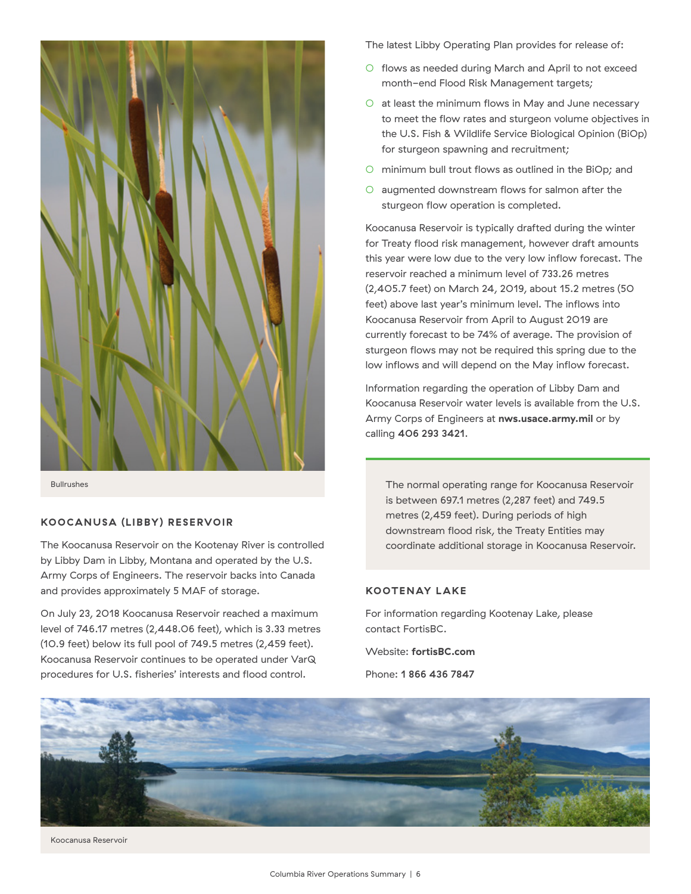

Bullrushes

#### **KOOCANUSA (LIBBY) RESERVOIR**

The Koocanusa Reservoir on the Kootenay River is controlled by Libby Dam in Libby, Montana and operated by the U.S. Army Corps of Engineers. The reservoir backs into Canada and provides approximately 5 MAF of storage.

On July 23, 2018 Koocanusa Reservoir reached a maximum level of 746.17 metres (2,448.06 feet), which is 3.33 metres (10.9 feet) below its full pool of 749.5 metres (2,459 feet). Koocanusa Reservoir continues to be operated under VarQ procedures for U.S. fisheries' interests and flood control.

The latest Libby Operating Plan provides for release of:

- flows as needed during March and April to not exceed month-end Flood Risk Management targets;
- $O$  at least the minimum flows in May and June necessary to meet the flow rates and sturgeon volume objectives in the U.S. Fish & Wildlife Service Biological Opinion (BiOp) for sturgeon spawning and recruitment;
- minimum bull trout flows as outlined in the BiOp; and
- augmented downstream flows for salmon after the sturgeon flow operation is completed.

Koocanusa Reservoir is typically drafted during the winter for Treaty flood risk management, however draft amounts this year were low due to the very low inflow forecast. The reservoir reached a minimum level of 733.26 metres (2,405.7 feet) on March 24, 2019, about 15.2 metres (50 feet) above last year's minimum level. The inflows into Koocanusa Reservoir from April to August 2019 are currently forecast to be 74% of average. The provision of sturgeon flows may not be required this spring due to the low inflows and will depend on the May inflow forecast.

Information regarding the operation of Libby Dam and Koocanusa Reservoir water levels is available from the U.S. Army Corps of Engineers at **nws.usace.army.mil** or by calling 406 293 3421.

The normal operating range for Koocanusa Reservoir is between 697.1 metres (2,287 feet) and 749.5 metres (2,459 feet). During periods of high downstream flood risk, the Treaty Entities may coordinate additional storage in Koocanusa Reservoir.

#### **KOOTENAY LAKE**

For information regarding Kootenay Lake, please contact FortisBC.

Website: **fortisBC.com**

Phone: 1 866 436 7847



Koocanusa Reservoir